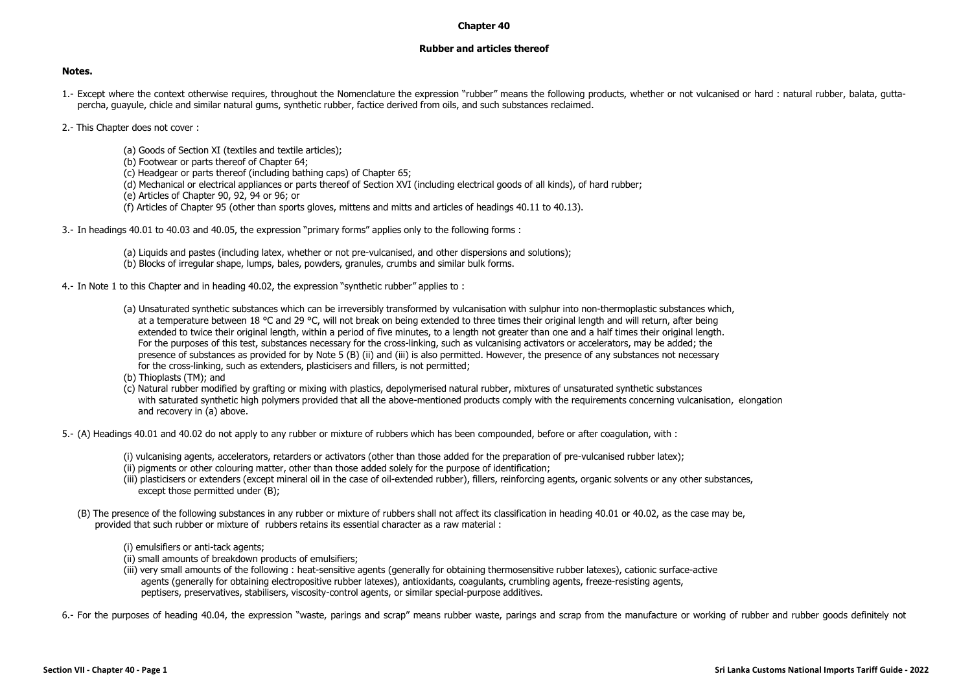## **Chapter 40**

## **Rubber and articles thereof**

## **Notes.**

- 1.- Except where the context otherwise requires, throughout the Nomenclature the expression "rubber" means the following products, whether or not vulcanised or hard : natural rubber, balata, guttapercha, guayule, chicle and similar natural gums, synthetic rubber, factice derived from oils, and such substances reclaimed.
- 2.- This Chapter does not cover :
	- (a) Goods of Section XI (textiles and textile articles);
	- (b) Footwear or parts thereof of Chapter 64;
	- (c) Headgear or parts thereof (including bathing caps) of Chapter 65;
	- (d) Mechanical or electrical appliances or parts thereof of Section XVI (including electrical goods of all kinds), of hard rubber;
	- (e) Articles of Chapter 90, 92, 94 or 96; or
	- (f) Articles of Chapter 95 (other than sports gloves, mittens and mitts and articles of headings 40.11 to 40.13).
- 3.- In headings 40.01 to 40.03 and 40.05, the expression "primary forms" applies only to the following forms :
	- (a) Liquids and pastes (including latex, whether or not pre-vulcanised, and other dispersions and solutions); (b) Blocks of irregular shape, lumps, bales, powders, granules, crumbs and similar bulk forms.
- 4.- In Note 1 to this Chapter and in heading 40.02, the expression "synthetic rubber" applies to :
	- (a) Unsaturated synthetic substances which can be irreversibly transformed by vulcanisation with sulphur into non-thermoplastic substances which, at a temperature between 18 °C and 29 °C, will not break on being extended to three times their original length and will return, after being extended to twice their original length, within a period of five minutes, to a length not greater than one and a half times their original length. For the purposes of this test, substances necessary for the cross-linking, such as vulcanising activators or accelerators, may be added; the presence of substances as provided for by Note 5 (B) (ii) and (iii) is also permitted. However, the presence of any substances not necessary for the cross-linking, such as extenders, plasticisers and fillers, is not permitted;
	- (b) Thioplasts (TM); and
	- (c) Natural rubber modified by grafting or mixing with plastics, depolymerised natural rubber, mixtures of unsaturated synthetic substances with saturated synthetic high polymers provided that all the above-mentioned products comply with the requirements concerning vulcanisation, elongation and recovery in (a) above.
- 5.- (A) Headings 40.01 and 40.02 do not apply to any rubber or mixture of rubbers which has been compounded, before or after coagulation, with :
	- (i) vulcanising agents, accelerators, retarders or activators (other than those added for the preparation of pre-vulcanised rubber latex); (ii) pigments or other colouring matter, other than those added solely for the purpose of identification;
	- (iii) plasticisers or extenders (except mineral oil in the case of oil-extended rubber), fillers, reinforcing agents, organic solvents or any other substances, except those permitted under (B);
	- (B) The presence of the following substances in any rubber or mixture of rubbers shall not affect its classification in heading 40.01 or 40.02, as the case may be, provided that such rubber or mixture of rubbers retains its essential character as a raw material :

(i) emulsifiers or anti-tack agents;

- (ii) small amounts of breakdown products of emulsifiers;
- (iii) very small amounts of the following : heat-sensitive agents (generally for obtaining thermosensitive rubber latexes), cationic surface-active agents (generally for obtaining electropositive rubber latexes), antioxidants, coagulants, crumbling agents, freeze-resisting agents, peptisers, preservatives, stabilisers, viscosity-control agents, or similar special-purpose additives.

6.- For the purposes of heading 40.04, the expression "waste, parings and scrap" means rubber waste, parings and scrap from the manufacture or working of rubber and rubber goods definitely not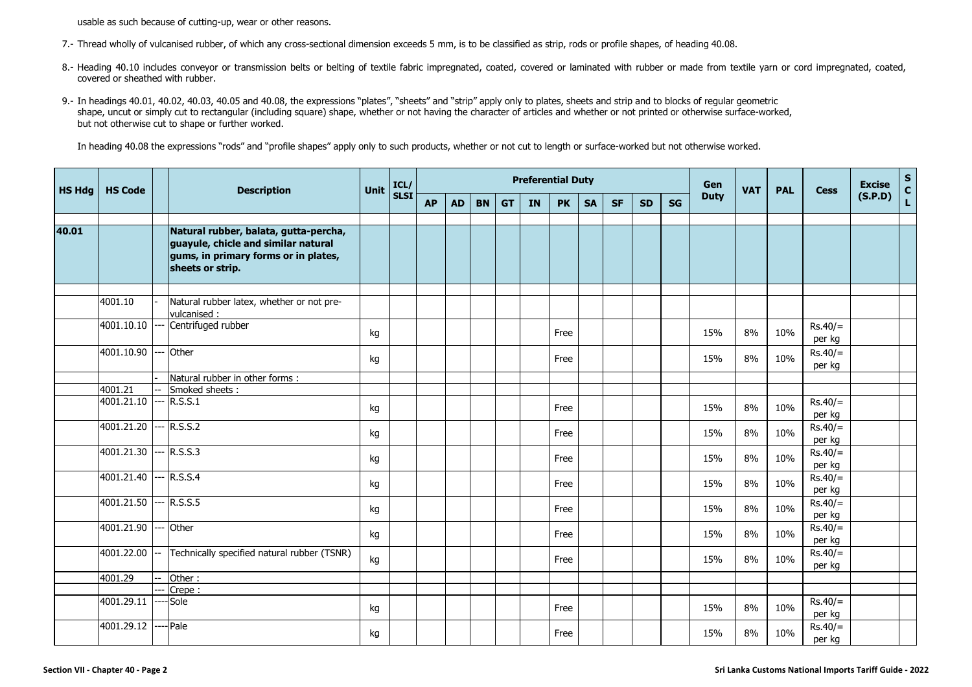usable as such because of cutting-up, wear or other reasons.

- 7.- Thread wholly of vulcanised rubber, of which any cross-sectional dimension exceeds 5 mm, is to be classified as strip, rods or profile shapes, of heading 40.08.
- 8.- Heading 40.10 includes conveyor or transmission belts or belting of textile fabric impregnated, coated, coated, covered or laminated with rubber or made from textile yarn or cord impregnated, coated, covered or sheathed with rubber.
- 9.- In headings 40.01, 40.02, 40.03, 40.05 and 40.08, the expressions "plates", "sheets" and "strip" apply only to plates, sheets and strip and to blocks of regular geometric shape, uncut or simply cut to rectangular (including square) shape, whether or not having the character of articles and whether or not printed or otherwise surface-worked, but not otherwise cut to shape or further worked.

In heading 40.08 the expressions "rods" and "profile shapes" apply only to such products, whether or not cut to length or surface-worked but not otherwise worked.

| <b>HS Hdg</b> | <b>HS Code</b> |        | <b>Description</b>                                                                                                                       | <b>Unit</b> | ICL/        |           |           |           |           |    | <b>Preferential Duty</b> |           |           |           |           | Gen         | <b>VAT</b> | <b>PAL</b> | <b>Cess</b>         | <b>Excise</b> | $S_{C}$      |
|---------------|----------------|--------|------------------------------------------------------------------------------------------------------------------------------------------|-------------|-------------|-----------|-----------|-----------|-----------|----|--------------------------|-----------|-----------|-----------|-----------|-------------|------------|------------|---------------------|---------------|--------------|
|               |                |        |                                                                                                                                          |             | <b>SLSI</b> | <b>AP</b> | <b>AD</b> | <b>BN</b> | <b>GT</b> | IN | <b>PK</b>                | <b>SA</b> | <b>SF</b> | <b>SD</b> | <b>SG</b> | <b>Duty</b> |            |            |                     | (S.P.D)       | $\mathbf{L}$ |
|               |                |        |                                                                                                                                          |             |             |           |           |           |           |    |                          |           |           |           |           |             |            |            |                     |               |              |
| 40.01         |                |        | Natural rubber, balata, gutta-percha,<br>guayule, chicle and similar natural<br>gums, in primary forms or in plates,<br>sheets or strip. |             |             |           |           |           |           |    |                          |           |           |           |           |             |            |            |                     |               |              |
|               | 4001.10        |        | Natural rubber latex, whether or not pre-                                                                                                |             |             |           |           |           |           |    |                          |           |           |           |           |             |            |            |                     |               |              |
|               |                |        | vulcanised:                                                                                                                              |             |             |           |           |           |           |    |                          |           |           |           |           |             |            |            |                     |               |              |
|               | 4001.10.10     |        | Centrifuged rubber                                                                                                                       | kg          |             |           |           |           |           |    | Free                     |           |           |           |           | 15%         | 8%         | 10%        | $Rs.40/=$<br>per kg |               |              |
|               | 4001.10.90     |        | Other                                                                                                                                    | kg          |             |           |           |           |           |    | Free                     |           |           |           |           | 15%         | 8%         | 10%        | $Rs.40/=$<br>per kg |               |              |
|               |                |        | Natural rubber in other forms :                                                                                                          |             |             |           |           |           |           |    |                          |           |           |           |           |             |            |            |                     |               |              |
|               | 4001.21        |        | Smoked sheets:                                                                                                                           |             |             |           |           |           |           |    |                          |           |           |           |           |             |            |            |                     |               |              |
|               | 4001.21.10     |        | $-$ R.S.S.1                                                                                                                              | kg          |             |           |           |           |           |    | Free                     |           |           |           |           | 15%         | 8%         | 10%        | $Rs.40/=$<br>per kg |               |              |
|               | 4001.21.20     |        | $-$ R.S.S.2                                                                                                                              | kg          |             |           |           |           |           |    | Free                     |           |           |           |           | 15%         | 8%         | 10%        | $Rs.40/=$<br>per kg |               |              |
|               | 4001.21.30     |        | $-$ R.S.S.3                                                                                                                              | kg          |             |           |           |           |           |    | Free                     |           |           |           |           | 15%         | 8%         | 10%        | $Rs.40/=$<br>per kg |               |              |
|               | 4001.21.40     |        | -- R.S.S.4                                                                                                                               | kg          |             |           |           |           |           |    | Free                     |           |           |           |           | 15%         | 8%         | 10%        | $Rs.40/=$<br>per kg |               |              |
|               | 4001.21.50     |        | -- R.S.S.5                                                                                                                               | kg          |             |           |           |           |           |    | Free                     |           |           |           |           | 15%         | 8%         | 10%        | $Rs.40/=$<br>per kg |               |              |
|               | 4001.21.90     |        | Other                                                                                                                                    | kg          |             |           |           |           |           |    | Free                     |           |           |           |           | 15%         | 8%         | 10%        | $Rs.40/=$<br>per kg |               |              |
|               | 4001.22.00     | $\sim$ | Technically specified natural rubber (TSNR)                                                                                              | kg          |             |           |           |           |           |    | Free                     |           |           |           |           | 15%         | 8%         | 10%        | $Rs.40/=$<br>per kg |               |              |
|               | 4001.29        |        | Other:                                                                                                                                   |             |             |           |           |           |           |    |                          |           |           |           |           |             |            |            |                     |               |              |
|               |                |        | Crepe:                                                                                                                                   |             |             |           |           |           |           |    |                          |           |           |           |           |             |            |            |                     |               |              |
|               | 4001.29.11     |        | Sole                                                                                                                                     | kg          |             |           |           |           |           |    | Free                     |           |           |           |           | 15%         | 8%         | 10%        | $Rs.40/=$<br>per kg |               |              |
|               | 4001.29.12     |        | --- Pale                                                                                                                                 | kg          |             |           |           |           |           |    | Free                     |           |           |           |           | 15%         | 8%         | 10%        | $Rs.40/=$<br>per kg |               |              |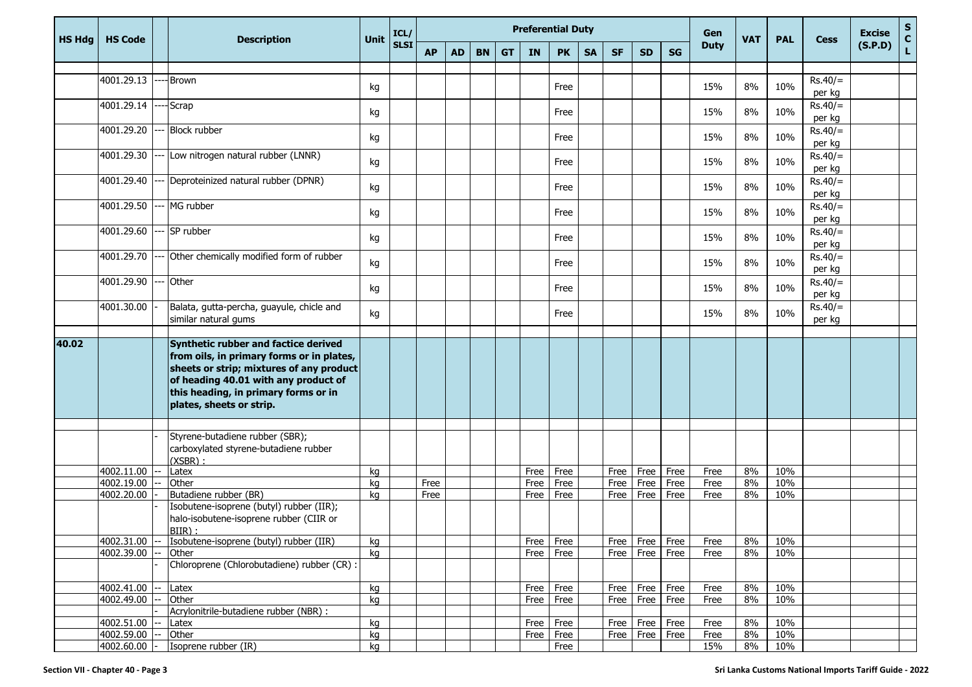| <b>HS Hdg</b> | <b>HS Code</b>           | <b>Description</b>                                                                                                                                                                                                                        | <b>Unit</b> | ICL/        |           |           |           |           |             | <b>Preferential Duty</b> |           | Gen          | <b>VAT</b>   | <b>PAL</b> | <b>Cess</b>  | <b>Excise</b> | S<br>C<br>L |                     |         |  |
|---------------|--------------------------|-------------------------------------------------------------------------------------------------------------------------------------------------------------------------------------------------------------------------------------------|-------------|-------------|-----------|-----------|-----------|-----------|-------------|--------------------------|-----------|--------------|--------------|------------|--------------|---------------|-------------|---------------------|---------|--|
|               |                          |                                                                                                                                                                                                                                           |             | <b>SLSI</b> | <b>AP</b> | <b>AD</b> | <b>BN</b> | <b>GT</b> | <b>IN</b>   | <b>PK</b>                | <b>SA</b> | <b>SF</b>    | <b>SD</b>    | SG         | <b>Duty</b>  |               |             |                     | (S.P.D) |  |
|               |                          |                                                                                                                                                                                                                                           |             |             |           |           |           |           |             |                          |           |              |              |            |              |               |             |                     |         |  |
|               | 4001.29.13               | Brown                                                                                                                                                                                                                                     | kg          |             |           |           |           |           |             | Free                     |           |              |              |            | 15%          | 8%            | 10%         | $Rs.40/=$<br>per kg |         |  |
|               | 4001.29.14               | Scrap                                                                                                                                                                                                                                     | kg          |             |           |           |           |           |             | Free                     |           |              |              |            | 15%          | 8%            | 10%         | $Rs.40/=$<br>per kg |         |  |
|               | 4001.29.20               | <b>Block rubber</b>                                                                                                                                                                                                                       | kg          |             |           |           |           |           |             | Free                     |           |              |              |            | 15%          | 8%            | 10%         | $Rs.40/=$<br>per kg |         |  |
|               | 4001.29.30               | Low nitrogen natural rubber (LNNR)                                                                                                                                                                                                        | kg          |             |           |           |           |           |             | Free                     |           |              |              |            | 15%          | 8%            | 10%         | $Rs.40/=$<br>per kg |         |  |
|               | 4001.29.40               | Deproteinized natural rubber (DPNR)                                                                                                                                                                                                       | kg          |             |           |           |           |           |             | Free                     |           |              |              |            | 15%          | 8%            | 10%         | $Rs.40/=$<br>per kg |         |  |
|               | 4001.29.50               | MG rubber                                                                                                                                                                                                                                 | kg          |             |           |           |           |           |             | Free                     |           |              |              |            | 15%          | 8%            | 10%         | $Rs.40/=$<br>per kg |         |  |
|               | 4001.29.60               | SP rubber                                                                                                                                                                                                                                 | kg          |             |           |           |           |           |             | Free                     |           |              |              |            | 15%          | 8%            | 10%         | $Rs.40/=$<br>per kg |         |  |
|               | 4001.29.70               | Other chemically modified form of rubber                                                                                                                                                                                                  | kg          |             |           |           |           |           |             | Free                     |           |              |              |            | 15%          | 8%            | 10%         | $Rs.40/=$<br>per kg |         |  |
|               | 4001.29.90               | Other                                                                                                                                                                                                                                     | kg          |             |           |           |           |           |             | Free                     |           |              |              |            | 15%          | 8%            | 10%         | $Rs.40/=$<br>per kg |         |  |
|               | 4001.30.00               | Balata, gutta-percha, guayule, chicle and<br>similar natural gums                                                                                                                                                                         | kg          |             |           |           |           |           |             | Free                     |           |              |              |            | 15%          | 8%            | 10%         | $Rs.40/=$<br>per kg |         |  |
|               |                          |                                                                                                                                                                                                                                           |             |             |           |           |           |           |             |                          |           |              |              |            |              |               |             |                     |         |  |
| 40.02         |                          | Synthetic rubber and factice derived<br>from oils, in primary forms or in plates,<br>sheets or strip; mixtures of any product<br>of heading 40.01 with any product of<br>this heading, in primary forms or in<br>plates, sheets or strip. |             |             |           |           |           |           |             |                          |           |              |              |            |              |               |             |                     |         |  |
|               |                          |                                                                                                                                                                                                                                           |             |             |           |           |           |           |             |                          |           |              |              |            |              |               |             |                     |         |  |
|               |                          | Styrene-butadiene rubber (SBR);<br>carboxylated styrene-butadiene rubber<br>$(XSBR)$ :                                                                                                                                                    |             |             |           |           |           |           |             |                          |           |              |              |            |              |               |             |                     |         |  |
|               | 4002.11.00               | Latex                                                                                                                                                                                                                                     | kg          |             |           |           |           |           | Free        | Free                     |           | Free         | Free         | Free       | Free         | 8%            | 10%         |                     |         |  |
|               | 4002.19.00               | Other                                                                                                                                                                                                                                     | kg          |             | Free      |           |           |           | <b>Free</b> | Free                     |           | Free         | Free         | Free       | Free         | 8%            | 10%         |                     |         |  |
|               | 4002.20.00               | Butadiene rubber (BR)<br>Isobutene-isoprene (butyl) rubber (IIR);<br>halo-isobutene-isoprene rubber (CIIR or<br>BIIR):                                                                                                                    | kg          |             | Free      |           |           |           | Free        | Free                     |           | Free         | Free         | Free       | Free         | 8%            | 10%         |                     |         |  |
|               | 4002.31.00               | Isobutene-isoprene (butyl) rubber (IIR)                                                                                                                                                                                                   | kg          |             |           |           |           |           | Free        | Free                     |           | Free         | Free         | Free       | Free         | 8%            | 10%         |                     |         |  |
|               | 4002.39.00               | Other                                                                                                                                                                                                                                     | kg          |             |           |           |           |           | Free        | Free                     |           | Free         | Free         | Free       | Free         | 8%            | 10%         |                     |         |  |
|               |                          | Chloroprene (Chlorobutadiene) rubber (CR) :                                                                                                                                                                                               |             |             |           |           |           |           |             |                          |           |              |              |            |              |               |             |                     |         |  |
|               | 4002.41.00               | Latex                                                                                                                                                                                                                                     | kg          |             |           |           |           |           | Free        | Free                     |           | Free         | Free         | Free       | Free         | 8%            | 10%         |                     |         |  |
|               | 4002.49.00               | Other                                                                                                                                                                                                                                     | kg          |             |           |           |           |           | Free        | Free                     |           | Free         | Free         | Free       | Free         | 8%            | 10%         |                     |         |  |
|               |                          | Acrylonitrile-butadiene rubber (NBR) :                                                                                                                                                                                                    |             |             |           |           |           |           |             |                          |           |              |              |            |              |               |             |                     |         |  |
|               | 4002.51.00<br>4002.59.00 | Latex<br>Other                                                                                                                                                                                                                            | kg          |             |           |           |           |           | Free        | Free                     |           | Free<br>Free | Free<br>Free | Free       | Free<br>Free | 8%<br>8%      | 10%<br>10%  |                     |         |  |
|               | 4002.60.00               | Isoprene rubber (IR)                                                                                                                                                                                                                      | kg<br>kg    |             |           |           |           |           | Free        | Free<br>Free             |           |              |              | Free       | 15%          | 8%            | 10%         |                     |         |  |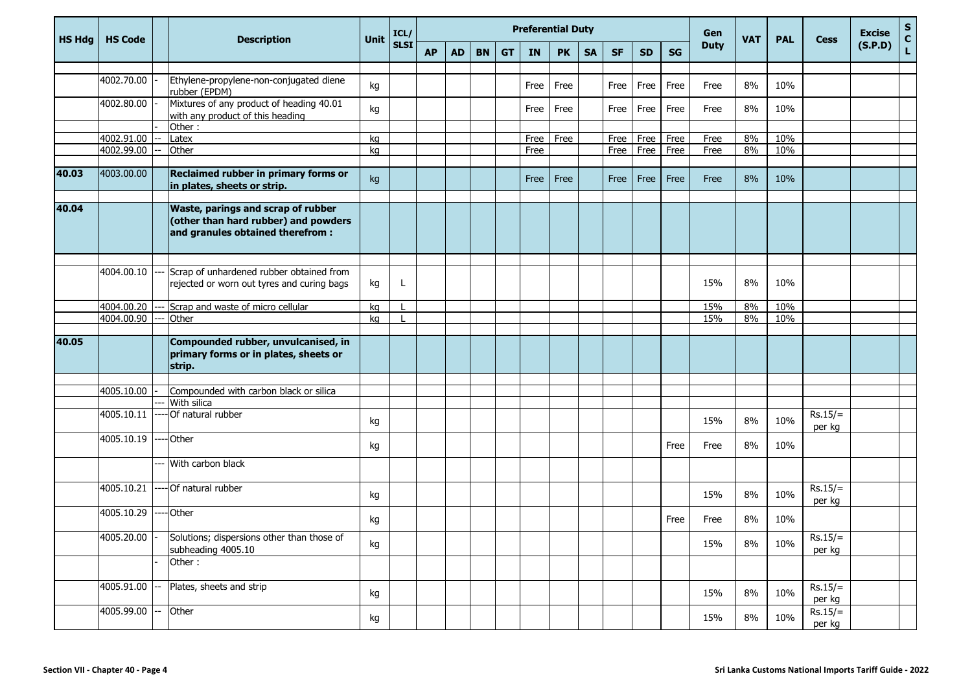| <b>HS Hdg</b> | <b>HS Code</b> | <b>Description</b>                                                                                              | <b>Unit</b> | ICL/        |           |           |           |           | <b>Preferential Duty</b> |           |           |           |           |           | Gen         | <b>VAT</b> | <b>PAL</b> | <b>Cess</b>         | <b>Excise</b> | S<br>C<br>L |
|---------------|----------------|-----------------------------------------------------------------------------------------------------------------|-------------|-------------|-----------|-----------|-----------|-----------|--------------------------|-----------|-----------|-----------|-----------|-----------|-------------|------------|------------|---------------------|---------------|-------------|
|               |                |                                                                                                                 |             | <b>SLSI</b> | <b>AP</b> | <b>AD</b> | <b>BN</b> | <b>GT</b> | <b>IN</b>                | <b>PK</b> | <b>SA</b> | <b>SF</b> | <b>SD</b> | <b>SG</b> | <b>Duty</b> |            |            |                     | (S.P.D)       |             |
|               |                |                                                                                                                 |             |             |           |           |           |           |                          |           |           |           |           |           |             |            |            |                     |               |             |
|               | 4002.70.00     | Ethylene-propylene-non-conjugated diene<br>rubber (EPDM)                                                        | kg          |             |           |           |           |           | Free                     | Free      |           | Free      | Free      | Free      | Free        | 8%         | 10%        |                     |               |             |
|               | 4002.80.00     | Mixtures of any product of heading 40.01<br>with any product of this heading                                    | kg          |             |           |           |           |           | Free                     | Free      |           | Free      | Free      | Free      | Free        | 8%         | 10%        |                     |               |             |
|               |                | Other:                                                                                                          |             |             |           |           |           |           |                          |           |           |           |           |           |             |            |            |                     |               |             |
|               | 4002.91.00     | Latex                                                                                                           | kg          |             |           |           |           |           | Free                     | Free      |           | Free      | Free      | Free      | Free        | 8%         | 10%        |                     |               |             |
|               | 4002.99.00     | Other                                                                                                           | kg          |             |           |           |           |           | Free                     |           |           | Free      | Free      | Free      | Free        | 8%         | 10%        |                     |               |             |
| 40.03         | 4003.00.00     | Reclaimed rubber in primary forms or<br>in plates, sheets or strip.                                             | kg          |             |           |           |           |           | Free                     | Free      |           | Free      | Free      | Free      | Free        | 8%         | 10%        |                     |               |             |
| 40.04         |                | Waste, parings and scrap of rubber<br>(other than hard rubber) and powders<br>and granules obtained therefrom : |             |             |           |           |           |           |                          |           |           |           |           |           |             |            |            |                     |               |             |
|               |                |                                                                                                                 |             |             |           |           |           |           |                          |           |           |           |           |           |             |            |            |                     |               |             |
|               | 4004.00.10     | Scrap of unhardened rubber obtained from<br>rejected or worn out tyres and curing bags                          | kg          | L           |           |           |           |           |                          |           |           |           |           |           | 15%         | 8%         | 10%        |                     |               |             |
|               | 4004.00.20     | --- Scrap and waste of micro cellular                                                                           | kg          |             |           |           |           |           |                          |           |           |           |           |           | 15%         | 8%         | 10%        |                     |               |             |
|               | 4004.00.90     | Other                                                                                                           | kg          |             |           |           |           |           |                          |           |           |           |           |           | 15%         | 8%         | 10%        |                     |               |             |
|               |                |                                                                                                                 |             |             |           |           |           |           |                          |           |           |           |           |           |             |            |            |                     |               |             |
| 40.05         |                | Compounded rubber, unvulcanised, in<br>primary forms or in plates, sheets or<br>strip.                          |             |             |           |           |           |           |                          |           |           |           |           |           |             |            |            |                     |               |             |
|               |                |                                                                                                                 |             |             |           |           |           |           |                          |           |           |           |           |           |             |            |            |                     |               |             |
|               | 4005.10.00     | Compounded with carbon black or silica                                                                          |             |             |           |           |           |           |                          |           |           |           |           |           |             |            |            |                     |               |             |
|               |                | With silica                                                                                                     |             |             |           |           |           |           |                          |           |           |           |           |           |             |            |            |                     |               |             |
|               | 4005.10.11     | ----Of natural rubber                                                                                           | kg          |             |           |           |           |           |                          |           |           |           |           |           | 15%         | 8%         | 10%        | $Rs.15/=$<br>per kg |               |             |
|               | 4005.10.19     | ---- Other                                                                                                      | kg          |             |           |           |           |           |                          |           |           |           |           | Free      | Free        | 8%         | 10%        |                     |               |             |
|               |                | --- With carbon black                                                                                           |             |             |           |           |           |           |                          |           |           |           |           |           |             |            |            |                     |               |             |
|               | 4005.10.21     | -Of natural rubber                                                                                              | kg          |             |           |           |           |           |                          |           |           |           |           |           | 15%         | 8%         | 10%        | $Rs.15/=$<br>per kg |               |             |
|               | 4005.10.29     | -Other                                                                                                          | kg          |             |           |           |           |           |                          |           |           |           |           | Free      | Free        | 8%         | 10%        |                     |               |             |
|               | 4005.20.00     | Solutions; dispersions other than those of<br>subheading 4005.10                                                | kg          |             |           |           |           |           |                          |           |           |           |           |           | 15%         | 8%         | 10%        | $Rs.15/=$<br>per kg |               |             |
|               |                | Other:                                                                                                          |             |             |           |           |           |           |                          |           |           |           |           |           |             |            |            |                     |               |             |
|               | 4005.91.00     | Plates, sheets and strip                                                                                        | kg          |             |           |           |           |           |                          |           |           |           |           |           | 15%         | 8%         | 10%        | $Rs.15/=$<br>per kg |               |             |
|               | 4005.99.00     | Other                                                                                                           | kg          |             |           |           |           |           |                          |           |           |           |           |           | 15%         | 8%         | 10%        | $Rs.15/=$<br>per kg |               |             |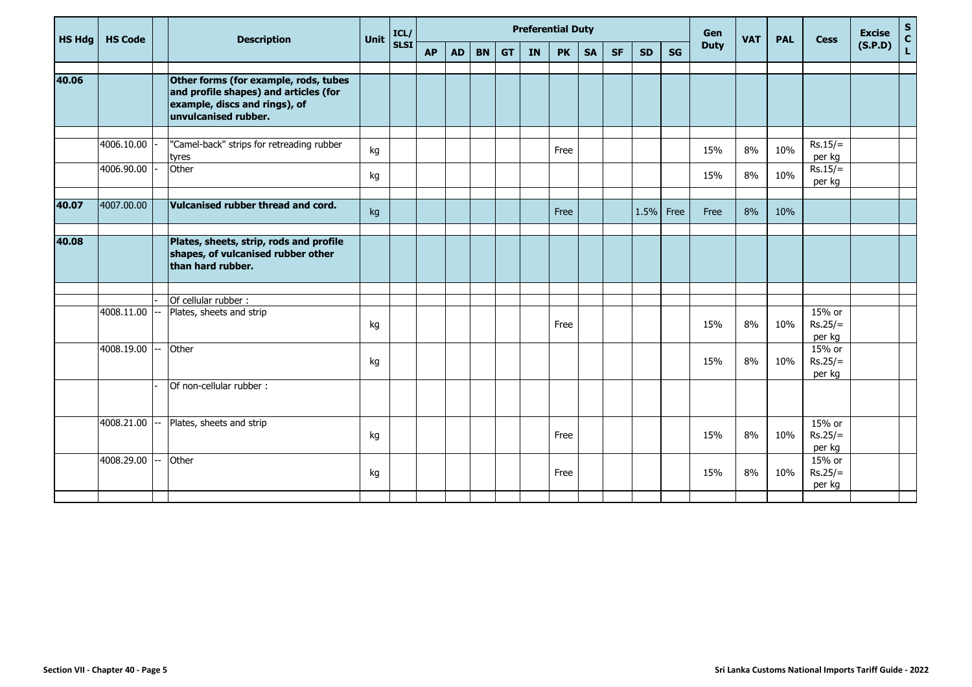| <b>HS Hdg</b> | <b>HS Code</b> | <b>Description</b>                                                                                                                      | <b>Unit</b> | ICL/        |           |           |           |           |           | <b>Preferential Duty</b> |           |           |           | Gen  | <b>VAT</b>  | <b>PAL</b> | <b>Cess</b> | <b>Excise</b>                 | $rac{s}{c}$ |                    |
|---------------|----------------|-----------------------------------------------------------------------------------------------------------------------------------------|-------------|-------------|-----------|-----------|-----------|-----------|-----------|--------------------------|-----------|-----------|-----------|------|-------------|------------|-------------|-------------------------------|-------------|--------------------|
|               |                |                                                                                                                                         |             | <b>SLSI</b> | <b>AP</b> | <b>AD</b> | <b>BN</b> | <b>GT</b> | <b>IN</b> | <b>PK</b>                | <b>SA</b> | <b>SF</b> | <b>SD</b> | SG   | <b>Duty</b> |            |             |                               | (S.P.D)     | $\bar{\mathbf{L}}$ |
| 40.06         |                | Other forms (for example, rods, tubes<br>and profile shapes) and articles (for<br>example, discs and rings), of<br>unvulcanised rubber. |             |             |           |           |           |           |           |                          |           |           |           |      |             |            |             |                               |             |                    |
|               | 4006.10.00     | "Camel-back" strips for retreading rubber<br>tyres                                                                                      | kg          |             |           |           |           |           |           | Free                     |           |           |           |      | 15%         | 8%         | 10%         | $Rs.15/=$<br>per kg           |             |                    |
|               | 4006.90.00     | Other                                                                                                                                   | kg          |             |           |           |           |           |           |                          |           |           |           |      | 15%         | 8%         | 10%         | $Rs.15/=$<br>per kg           |             |                    |
| 40.07         | 4007.00.00     | Vulcanised rubber thread and cord.                                                                                                      | kg          |             |           |           |           |           |           | Free                     |           |           | 1.5%      | Free | Free        | 8%         | 10%         |                               |             |                    |
| 40.08         |                | Plates, sheets, strip, rods and profile<br>shapes, of vulcanised rubber other<br>than hard rubber.                                      |             |             |           |           |           |           |           |                          |           |           |           |      |             |            |             |                               |             |                    |
|               |                | Of cellular rubber:                                                                                                                     |             |             |           |           |           |           |           |                          |           |           |           |      |             |            |             |                               |             |                    |
|               | 4008.11.00     | Plates, sheets and strip                                                                                                                | kg          |             |           |           |           |           |           | Free                     |           |           |           |      | 15%         | 8%         | 10%         | 15% or<br>$Rs.25/=$<br>per kg |             |                    |
|               | 4008.19.00     | Other                                                                                                                                   | kg          |             |           |           |           |           |           |                          |           |           |           |      | 15%         | 8%         | 10%         | 15% or<br>$Rs.25/=$<br>per kg |             |                    |
|               |                | Of non-cellular rubber:                                                                                                                 |             |             |           |           |           |           |           |                          |           |           |           |      |             |            |             |                               |             |                    |
|               | 4008.21.00     | Plates, sheets and strip                                                                                                                | kg          |             |           |           |           |           |           | Free                     |           |           |           |      | 15%         | 8%         | 10%         | 15% or<br>$Rs.25/=$<br>per kg |             |                    |
|               | 4008.29.00     | Other                                                                                                                                   | kg          |             |           |           |           |           |           | Free                     |           |           |           |      | 15%         | 8%         | 10%         | 15% or<br>$Rs.25/=$<br>per kg |             |                    |
|               |                |                                                                                                                                         |             |             |           |           |           |           |           |                          |           |           |           |      |             |            |             |                               |             |                    |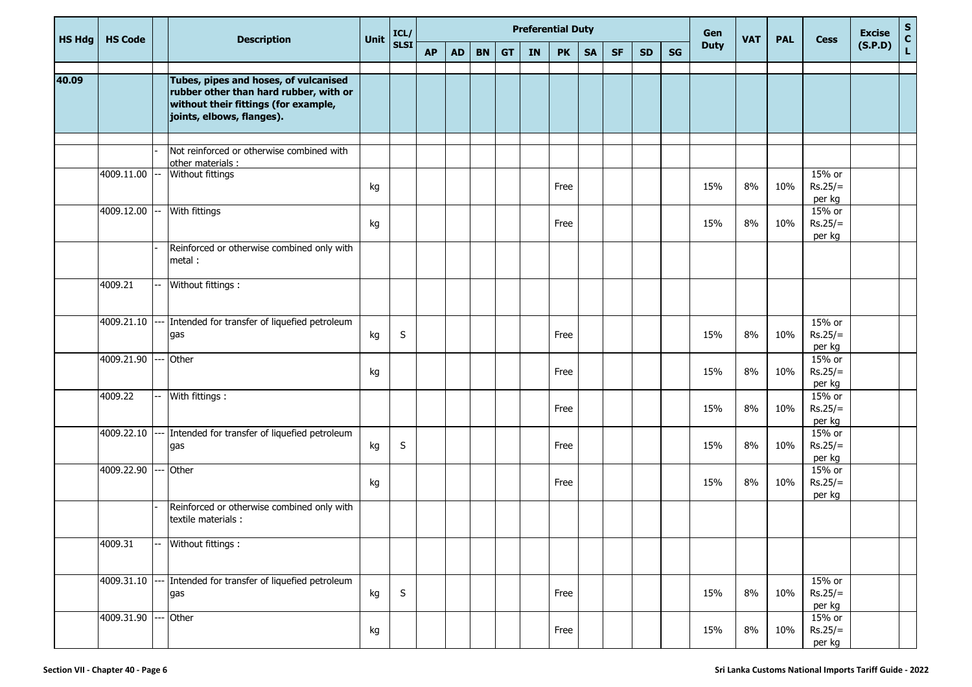| <b>HS Hdg</b> | <b>HS Code</b> |    | <b>Description</b>                                                                                                                                   | <b>Unit</b> | ICL/        |           |           |           |           | <b>Preferential Duty</b> |           |           |           |           |    | Gen         | <b>VAT</b> | <b>PAL</b> | <b>Cess</b>                     | <b>Excise</b> | $\mathbf S$  |
|---------------|----------------|----|------------------------------------------------------------------------------------------------------------------------------------------------------|-------------|-------------|-----------|-----------|-----------|-----------|--------------------------|-----------|-----------|-----------|-----------|----|-------------|------------|------------|---------------------------------|---------------|--------------|
|               |                |    |                                                                                                                                                      |             | <b>SLSI</b> | <b>AP</b> | <b>AD</b> | <b>BN</b> | <b>GT</b> | <b>IN</b>                | <b>PK</b> | <b>SA</b> | <b>SF</b> | <b>SD</b> | SG | <b>Duty</b> |            |            |                                 | (S.P.D)       | $\mathbf{c}$ |
| 40.09         |                |    | Tubes, pipes and hoses, of vulcanised<br>rubber other than hard rubber, with or<br>without their fittings (for example,<br>joints, elbows, flanges). |             |             |           |           |           |           |                          |           |           |           |           |    |             |            |            |                                 |               |              |
|               |                |    | Not reinforced or otherwise combined with                                                                                                            |             |             |           |           |           |           |                          |           |           |           |           |    |             |            |            |                                 |               |              |
|               | 4009.11.00     |    | other materials :<br>Without fittings                                                                                                                | kg          |             |           |           |           |           |                          | Free      |           |           |           |    | 15%         | 8%         | 10%        | 15% or<br>$Rs.25/=$<br>per kg   |               |              |
|               | 4009.12.00     | -- | With fittings                                                                                                                                        | kg          |             |           |           |           |           |                          | Free      |           |           |           |    | 15%         | 8%         | 10%        | 15% or<br>$Rs.25/=$<br>per kg   |               |              |
|               |                |    | Reinforced or otherwise combined only with<br>metal :                                                                                                |             |             |           |           |           |           |                          |           |           |           |           |    |             |            |            |                                 |               |              |
|               | 4009.21        |    | Without fittings :                                                                                                                                   |             |             |           |           |           |           |                          |           |           |           |           |    |             |            |            |                                 |               |              |
|               | 4009.21.10     |    | -- Intended for transfer of liquefied petroleum<br>gas                                                                                               | kg          | S           |           |           |           |           |                          | Free      |           |           |           |    | 15%         | 8%         | 10%        | 15% or<br>$Rs.25/=$<br>per kg   |               |              |
|               | 4009.21.90     |    | Other                                                                                                                                                | kg          |             |           |           |           |           |                          | Free      |           |           |           |    | 15%         | 8%         | 10%        | 15% or<br>$Rs.25/=$<br>per kg   |               |              |
|               | 4009.22        |    | With fittings :                                                                                                                                      |             |             |           |           |           |           |                          | Free      |           |           |           |    | 15%         | 8%         | 10%        | 15% or<br>$Rs.25/=$<br>per kg   |               |              |
|               | 4009.22.10     |    | --- Intended for transfer of liquefied petroleum<br>gas                                                                                              | kg          | S           |           |           |           |           |                          | Free      |           |           |           |    | 15%         | 8%         | 10%        | 15% or<br>$Rs.25/=$<br>per kg   |               |              |
|               | 4009.22.90     |    | Other                                                                                                                                                | kg          |             |           |           |           |           |                          | Free      |           |           |           |    | 15%         | 8%         | 10%        | 15% or<br>$Rs.25/=$<br>per kg   |               |              |
|               |                |    | Reinforced or otherwise combined only with<br>textile materials :                                                                                    |             |             |           |           |           |           |                          |           |           |           |           |    |             |            |            |                                 |               |              |
|               | 4009.31        |    | Without fittings :                                                                                                                                   |             |             |           |           |           |           |                          |           |           |           |           |    |             |            |            |                                 |               |              |
|               | 4009.31.10     |    | Intended for transfer of liquefied petroleum<br>gas                                                                                                  | kg          | $\sf S$     |           |           |           |           |                          | Free      |           |           |           |    | 15%         | 8%         | 10%        | $15%$ or<br>$Rs.25/=$<br>per kg |               |              |
|               | 4009.31.90     |    | Other                                                                                                                                                | kg          |             |           |           |           |           |                          | Free      |           |           |           |    | 15%         | $8\%$      | 10%        | 15% or<br>$Rs.25/=$<br>per kg   |               |              |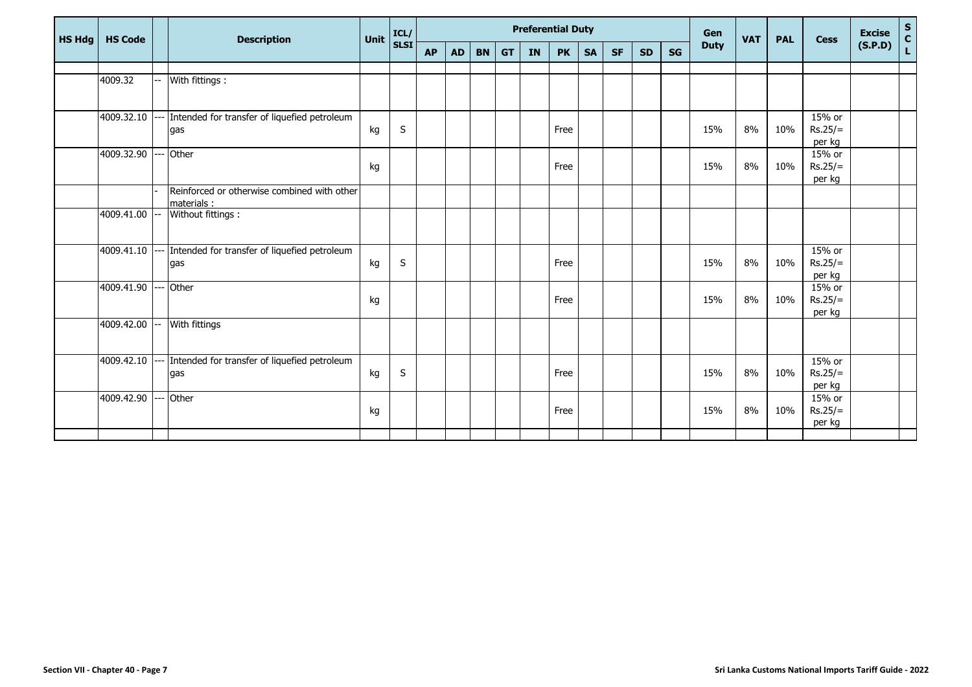| HS Hdg | <b>HS Code</b> | <b>Description</b>                               | Unit | ICL/        | <b>Preferential Duty</b> |           |           |           |           |           |           |           |           |    | Gen         | <b>VAT</b> | <b>PAL</b> | <b>Cess</b>         | <b>Excise</b> | $S$ $C$ $L$ |
|--------|----------------|--------------------------------------------------|------|-------------|--------------------------|-----------|-----------|-----------|-----------|-----------|-----------|-----------|-----------|----|-------------|------------|------------|---------------------|---------------|-------------|
|        |                |                                                  |      | <b>SLSI</b> | <b>AP</b>                | <b>AD</b> | <b>BN</b> | <b>GT</b> | <b>IN</b> | <b>PK</b> | <b>SA</b> | <b>SF</b> | <b>SD</b> | SG | <b>Duty</b> |            |            |                     | (S.P.D)       |             |
|        |                |                                                  |      |             |                          |           |           |           |           |           |           |           |           |    |             |            |            |                     |               |             |
|        | 4009.32        | With fittings:                                   |      |             |                          |           |           |           |           |           |           |           |           |    |             |            |            |                     |               |             |
|        |                |                                                  |      |             |                          |           |           |           |           |           |           |           |           |    |             |            |            |                     |               |             |
|        | 4009.32.10     | --- Intended for transfer of liquefied petroleum |      |             |                          |           |           |           |           |           |           |           |           |    |             |            |            | 15% or              |               |             |
|        |                | gas                                              | kg   | $\sf S$     |                          |           |           |           |           | Free      |           |           |           |    | 15%         | 8%         | 10%        | $Rs.25/=$           |               |             |
|        |                |                                                  |      |             |                          |           |           |           |           |           |           |           |           |    |             |            |            | per kg              |               |             |
|        | 4009.32.90     | Other                                            |      |             |                          |           |           |           |           |           |           |           |           |    |             |            |            | 15% or              |               |             |
|        |                |                                                  | kg   |             |                          |           |           |           |           | Free      |           |           |           |    | 15%         | 8%         | 10%        | $Rs.25/=$           |               |             |
|        |                | Reinforced or otherwise combined with other      |      |             |                          |           |           |           |           |           |           |           |           |    |             |            |            | per kg              |               |             |
|        |                | materials:                                       |      |             |                          |           |           |           |           |           |           |           |           |    |             |            |            |                     |               |             |
|        | 4009.41.00     | Without fittings :                               |      |             |                          |           |           |           |           |           |           |           |           |    |             |            |            |                     |               |             |
|        |                |                                                  |      |             |                          |           |           |           |           |           |           |           |           |    |             |            |            |                     |               |             |
|        |                |                                                  |      |             |                          |           |           |           |           |           |           |           |           |    |             |            |            |                     |               |             |
|        | 4009.41.10     | Intended for transfer of liquefied petroleum     |      |             |                          |           |           |           |           |           |           |           |           |    |             |            |            | 15% or              |               |             |
|        |                | gas                                              | kg   | $\sf S$     |                          |           |           |           |           | Free      |           |           |           |    | 15%         | 8%         | 10%        | $Rs.25/=$<br>per kg |               |             |
|        | 4009.41.90     | Other                                            |      |             |                          |           |           |           |           |           |           |           |           |    |             |            |            | 15% or              |               |             |
|        |                |                                                  | kg   |             |                          |           |           |           |           | Free      |           |           |           |    | 15%         | 8%         | 10%        | $Rs.25/=$           |               |             |
|        |                |                                                  |      |             |                          |           |           |           |           |           |           |           |           |    |             |            |            | per kg              |               |             |
|        | 4009.42.00     | With fittings                                    |      |             |                          |           |           |           |           |           |           |           |           |    |             |            |            |                     |               |             |
|        |                |                                                  |      |             |                          |           |           |           |           |           |           |           |           |    |             |            |            |                     |               |             |
|        |                |                                                  |      |             |                          |           |           |           |           |           |           |           |           |    |             |            |            |                     |               |             |
|        | 4009.42.10     | Intended for transfer of liquefied petroleum     |      |             |                          |           |           |           |           |           |           |           |           |    |             |            |            | 15% or              |               |             |
|        |                | gas                                              | kg   | $\sf S$     |                          |           |           |           |           | Free      |           |           |           |    | 15%         | 8%         | 10%        | $Rs.25/=$           |               |             |
|        | 4009.42.90     | Other                                            |      |             |                          |           |           |           |           |           |           |           |           |    |             |            |            | per kg<br>15% or    |               |             |
|        |                |                                                  | kg   |             |                          |           |           |           |           | Free      |           |           |           |    | 15%         | 8%         | 10%        | $Rs.25/=$           |               |             |
|        |                |                                                  |      |             |                          |           |           |           |           |           |           |           |           |    |             |            |            | per kg              |               |             |
|        |                |                                                  |      |             |                          |           |           |           |           |           |           |           |           |    |             |            |            |                     |               |             |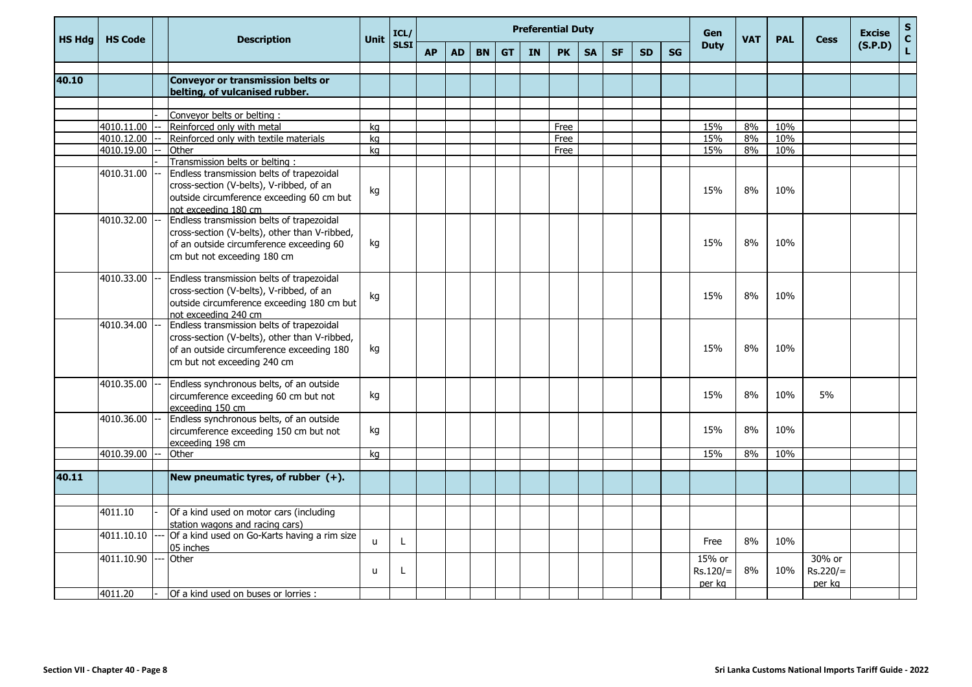| <b>HS Hdg</b> | <b>HS Code</b> | <b>Description</b>                                                                                                                                                     | Unit | ICL/        |           |           |           |           |    | <b>Preferential Duty</b> |           | Gen       | <b>VAT</b> | <b>PAL</b> | <b>Cess</b>                    | <b>Excise</b> | $\mathsf{s}$<br>$\mathbf{C}$ |                                |         |             |
|---------------|----------------|------------------------------------------------------------------------------------------------------------------------------------------------------------------------|------|-------------|-----------|-----------|-----------|-----------|----|--------------------------|-----------|-----------|------------|------------|--------------------------------|---------------|------------------------------|--------------------------------|---------|-------------|
|               |                |                                                                                                                                                                        |      | <b>SLSI</b> | <b>AP</b> | <b>AD</b> | <b>BN</b> | <b>GT</b> | IN | <b>PK</b>                | <b>SA</b> | <b>SF</b> | <b>SD</b>  | <b>SG</b>  | <b>Duty</b>                    |               |                              |                                | (S.P.D) | $\mathbf L$ |
| 40.10         |                | <b>Conveyor or transmission belts or</b>                                                                                                                               |      |             |           |           |           |           |    |                          |           |           |            |            |                                |               |                              |                                |         |             |
|               |                | belting, of vulcanised rubber.                                                                                                                                         |      |             |           |           |           |           |    |                          |           |           |            |            |                                |               |                              |                                |         |             |
|               |                | Conveyor belts or belting:                                                                                                                                             |      |             |           |           |           |           |    |                          |           |           |            |            |                                |               |                              |                                |         |             |
|               | 4010.11.00     | Reinforced only with metal                                                                                                                                             | ka   |             |           |           |           |           |    | Free                     |           |           |            |            | 15%                            | 8%            | 10%                          |                                |         |             |
|               | 4010.12.00     | Reinforced only with textile materials                                                                                                                                 | kg   |             |           |           |           |           |    | Free                     |           |           |            |            | 15%                            | 8%            | 10%                          |                                |         |             |
|               | 4010.19.00     | Other                                                                                                                                                                  | ka   |             |           |           |           |           |    | Free                     |           |           |            |            | 15%                            | 8%            | 10%                          |                                |         |             |
|               |                | Transmission belts or belting:                                                                                                                                         |      |             |           |           |           |           |    |                          |           |           |            |            |                                |               |                              |                                |         |             |
|               | 4010.31.00     | Endless transmission belts of trapezoidal<br>cross-section (V-belts), V-ribbed, of an<br>outside circumference exceeding 60 cm but<br>not exceeding 180 cm             | kg   |             |           |           |           |           |    |                          |           |           |            |            | 15%                            | 8%            | 10%                          |                                |         |             |
|               | 4010.32.00     | Endless transmission belts of trapezoidal<br>cross-section (V-belts), other than V-ribbed,<br>of an outside circumference exceeding 60<br>cm but not exceeding 180 cm  | kg   |             |           |           |           |           |    |                          |           |           |            |            | 15%                            | 8%            | 10%                          |                                |         |             |
|               | 4010.33.00     | Endless transmission belts of trapezoidal<br>cross-section (V-belts), V-ribbed, of an<br>outside circumference exceeding 180 cm but<br>not exceeding 240 cm            | kg   |             |           |           |           |           |    |                          |           |           |            |            | 15%                            | 8%            | 10%                          |                                |         |             |
|               | 4010.34.00     | Endless transmission belts of trapezoidal<br>cross-section (V-belts), other than V-ribbed,<br>of an outside circumference exceeding 180<br>cm but not exceeding 240 cm | kg   |             |           |           |           |           |    |                          |           |           |            |            | 15%                            | 8%            | 10%                          |                                |         |             |
|               | 4010.35.00     | Endless synchronous belts, of an outside<br>circumference exceeding 60 cm but not<br>exceeding 150 cm                                                                  | kg   |             |           |           |           |           |    |                          |           |           |            |            | 15%                            | 8%            | 10%                          | 5%                             |         |             |
|               | 4010.36.00     | Endless synchronous belts, of an outside<br>circumference exceeding 150 cm but not<br>exceeding 198 cm                                                                 | kg   |             |           |           |           |           |    |                          |           |           |            |            | 15%                            | 8%            | 10%                          |                                |         |             |
|               | 4010.39.00     | Other                                                                                                                                                                  | ka   |             |           |           |           |           |    |                          |           |           |            |            | 15%                            | 8%            | 10%                          |                                |         |             |
|               |                |                                                                                                                                                                        |      |             |           |           |           |           |    |                          |           |           |            |            |                                |               |                              |                                |         |             |
| 40.11         |                | New pneumatic tyres, of rubber (+).                                                                                                                                    |      |             |           |           |           |           |    |                          |           |           |            |            |                                |               |                              |                                |         |             |
|               |                |                                                                                                                                                                        |      |             |           |           |           |           |    |                          |           |           |            |            |                                |               |                              |                                |         |             |
|               | 4011.10        | Of a kind used on motor cars (including<br>station wagons and racing cars)                                                                                             |      |             |           |           |           |           |    |                          |           |           |            |            |                                |               |                              |                                |         |             |
|               | 4011.10.10     | Of a kind used on Go-Karts having a rim size<br>05 inches                                                                                                              | u    | L           |           |           |           |           |    |                          |           |           |            |            | Free                           | 8%            | 10%                          |                                |         |             |
|               | 4011.10.90     | Other                                                                                                                                                                  | u    | L           |           |           |           |           |    |                          |           |           |            |            | 15% or<br>$Rs.120/=$<br>per kg | 8%            | 10%                          | 30% or<br>$Rs.220/=$<br>per kg |         |             |
|               | 4011.20        | Of a kind used on buses or lorries:                                                                                                                                    |      |             |           |           |           |           |    |                          |           |           |            |            |                                |               |                              |                                |         |             |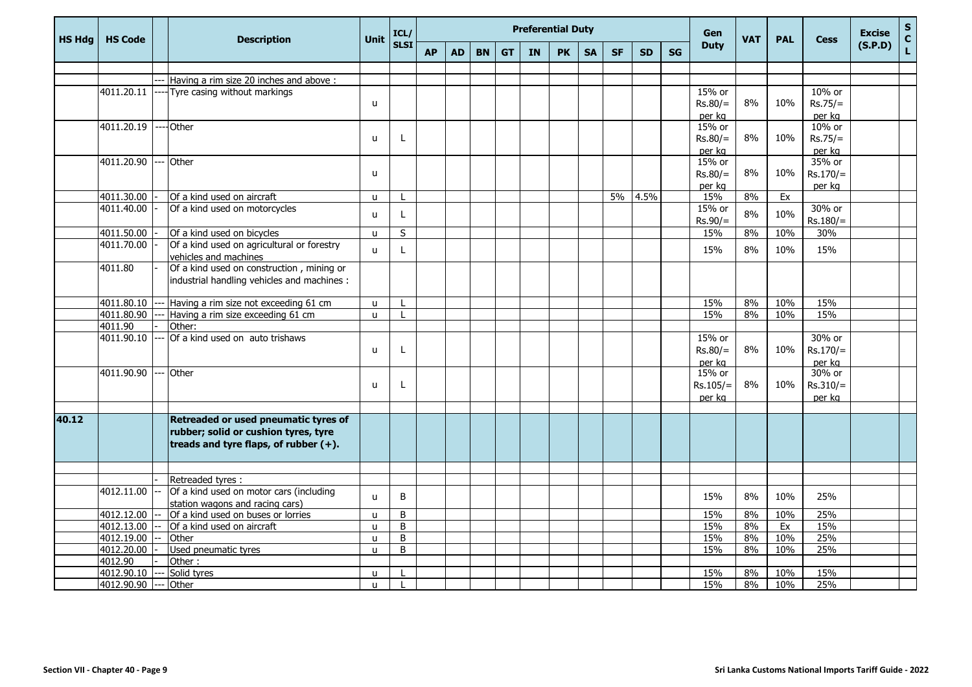| <b>HS Hdg</b> | <b>HS Code</b> | <b>Description</b>                                                  | <b>Unit</b>  | ICL/        |           |           |           |           |           | <b>Preferential Duty</b> |           |           |           |           | Gen         | <b>VAT</b> | <b>PAL</b> | <b>Cess</b> | <b>Excise</b> | $\mathsf{s}$<br>$\mathbf{C}$ |
|---------------|----------------|---------------------------------------------------------------------|--------------|-------------|-----------|-----------|-----------|-----------|-----------|--------------------------|-----------|-----------|-----------|-----------|-------------|------------|------------|-------------|---------------|------------------------------|
|               |                |                                                                     |              | <b>SLSI</b> | <b>AP</b> | <b>AD</b> | <b>BN</b> | <b>GT</b> | <b>IN</b> | <b>PK</b>                | <b>SA</b> | <b>SF</b> | <b>SD</b> | <b>SG</b> | <b>Duty</b> |            |            |             | (S.P.D)       | $\mathbf L$                  |
|               |                |                                                                     |              |             |           |           |           |           |           |                          |           |           |           |           |             |            |            |             |               |                              |
|               |                | Having a rim size 20 inches and above:                              |              |             |           |           |           |           |           |                          |           |           |           |           |             |            |            |             |               |                              |
|               | 4011.20.11     | ----Tyre casing without markings                                    |              |             |           |           |           |           |           |                          |           |           |           |           | 15% or      |            |            | 10% or      |               |                              |
|               |                |                                                                     | $\mathbf{u}$ |             |           |           |           |           |           |                          |           |           |           |           | $Rs.80/=$   | 8%         | 10%        | $Rs.75/=$   |               |                              |
|               |                |                                                                     |              |             |           |           |           |           |           |                          |           |           |           |           | per ka      |            |            | per ka      |               |                              |
|               | 4011.20.19     | --Other                                                             |              |             |           |           |           |           |           |                          |           |           |           |           | 15% or      |            |            | 10% or      |               |                              |
|               |                |                                                                     | $\mathbf{u}$ | L           |           |           |           |           |           |                          |           |           |           |           | $Rs.80/=$   | 8%         | 10%        | $Rs.75/=$   |               |                              |
|               |                |                                                                     |              |             |           |           |           |           |           |                          |           |           |           |           | per ka      |            |            | per ka      |               |                              |
|               | 4011.20.90     | --- Other                                                           |              |             |           |           |           |           |           |                          |           |           |           |           | 15% or      |            |            | 35% or      |               |                              |
|               |                |                                                                     | $\mathbf{u}$ |             |           |           |           |           |           |                          |           |           |           |           | $Rs.80/=$   | 8%         | 10%        | $Rs.170/=$  |               |                              |
|               |                |                                                                     |              |             |           |           |           |           |           |                          |           |           |           |           | per ka      |            |            | per ka      |               |                              |
|               | 4011.30.00     | Of a kind used on aircraft                                          | $\mathsf{u}$ |             |           |           |           |           |           |                          |           | 5%        | 4.5%      |           | 15%         | 8%         | Ex         |             |               |                              |
|               | 4011.40.00     | Of a kind used on motorcycles                                       | u            | L           |           |           |           |           |           |                          |           |           |           |           | 15% or      | 8%         | 10%        | 30% or      |               |                              |
|               |                |                                                                     |              |             |           |           |           |           |           |                          |           |           |           |           | $Rs.90/=$   |            |            | $Rs.180/=$  |               |                              |
|               | 4011.50.00     | Of a kind used on bicycles                                          | u            | S           |           |           |           |           |           |                          |           |           |           |           | 15%         | 8%         | 10%        | 30%         |               |                              |
|               | 4011.70.00     | Of a kind used on agricultural or forestry<br>vehicles and machines | u            | L           |           |           |           |           |           |                          |           |           |           |           | 15%         | 8%         | 10%        | 15%         |               |                              |
|               | 4011.80        | Of a kind used on construction, mining or                           |              |             |           |           |           |           |           |                          |           |           |           |           |             |            |            |             |               |                              |
|               |                | industrial handling vehicles and machines :                         |              |             |           |           |           |           |           |                          |           |           |           |           |             |            |            |             |               |                              |
|               | 4011.80.10     | Having a rim size not exceeding 61 cm                               | u            |             |           |           |           |           |           |                          |           |           |           |           | 15%         | 8%         | 10%        | 15%         |               |                              |
|               | 4011.80.90     | Having a rim size exceeding 61 cm                                   | u.           |             |           |           |           |           |           |                          |           |           |           |           | 15%         | 8%         | 10%        | 15%         |               |                              |
|               | 4011.90        | Other:                                                              |              |             |           |           |           |           |           |                          |           |           |           |           |             |            |            |             |               |                              |
|               | 4011.90.10     | Of a kind used on auto trishaws                                     |              |             |           |           |           |           |           |                          |           |           |           |           | 15% or      |            |            | 30% or      |               |                              |
|               |                |                                                                     | u            | L           |           |           |           |           |           |                          |           |           |           |           | $Rs.80/=$   | 8%         | 10%        | $Rs.170/=$  |               |                              |
|               |                |                                                                     |              |             |           |           |           |           |           |                          |           |           |           |           | per kg      |            |            | per kg      |               |                              |
|               | 4011.90.90     | --- Other                                                           |              |             |           |           |           |           |           |                          |           |           |           |           | 15% or      |            |            | 30% or      |               |                              |
|               |                |                                                                     | u            | L           |           |           |           |           |           |                          |           |           |           |           | $Rs.105/=$  | 8%         | 10%        | $Rs.310/=$  |               |                              |
|               |                |                                                                     |              |             |           |           |           |           |           |                          |           |           |           |           | per kg      |            |            | per kg      |               |                              |
|               |                |                                                                     |              |             |           |           |           |           |           |                          |           |           |           |           |             |            |            |             |               |                              |
| 40.12         |                | Retreaded or used pneumatic tyres of                                |              |             |           |           |           |           |           |                          |           |           |           |           |             |            |            |             |               |                              |
|               |                | rubber; solid or cushion tyres, tyre                                |              |             |           |           |           |           |           |                          |           |           |           |           |             |            |            |             |               |                              |
|               |                | treads and tyre flaps, of rubber $(+)$ .                            |              |             |           |           |           |           |           |                          |           |           |           |           |             |            |            |             |               |                              |
|               |                |                                                                     |              |             |           |           |           |           |           |                          |           |           |           |           |             |            |            |             |               |                              |
|               |                | Retreaded tyres :                                                   |              |             |           |           |           |           |           |                          |           |           |           |           |             |            |            |             |               |                              |
|               | 4012.11.00     | Of a kind used on motor cars (including                             |              |             |           |           |           |           |           |                          |           |           |           |           |             |            |            |             |               |                              |
|               |                | station wagons and racing cars)                                     | u            | B           |           |           |           |           |           |                          |           |           |           |           | 15%         | 8%         | 10%        | 25%         |               |                              |
|               | 4012.12.00     | Of a kind used on buses or lorries                                  | $\mathbf{u}$ | B           |           |           |           |           |           |                          |           |           |           |           | 15%         | 8%         | 10%        | 25%         |               |                              |
|               | 4012.13.00     | Of a kind used on aircraft                                          | $\mathbf{u}$ | B           |           |           |           |           |           |                          |           |           |           |           | 15%         | 8%         | Ex         | 15%         |               |                              |
|               | 4012.19.00     | Other                                                               | u            | B           |           |           |           |           |           |                          |           |           |           |           | 15%         | 8%         | 10%        | 25%         |               |                              |
|               | 4012.20.00     | Used pneumatic tyres                                                | u.           | B           |           |           |           |           |           |                          |           |           |           |           | 15%         | 8%         | 10%        | 25%         |               |                              |
|               | 4012.90        | Other:                                                              |              |             |           |           |           |           |           |                          |           |           |           |           |             |            |            |             |               |                              |
|               | 4012.90.10     | Solid tyres                                                         | u            |             |           |           |           |           |           |                          |           |           |           |           | 15%         | 8%         | 10%        | 15%         |               |                              |
|               | 4012.90.90     | Other                                                               | u            |             |           |           |           |           |           |                          |           |           |           |           | 15%         | 8%         | 10%        | 25%         |               |                              |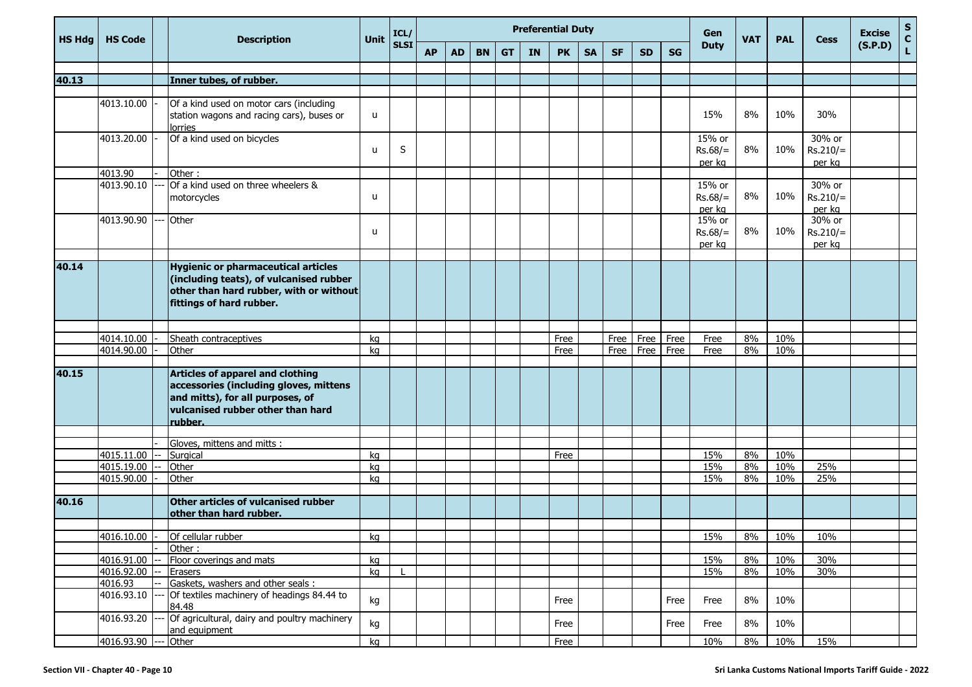| <b>HS Hdg</b> | <b>HS Code</b> | <b>Description</b>                                                                                                                                                    | <b>Unit</b>  | ICL/        |           |           |           |           |           | <b>Preferential Duty</b> |           |           |           |           | Gen                             | <b>VAT</b> | <b>PAL</b> | <b>Cess</b>                    | <b>Excise</b> | $S$<br>C    |
|---------------|----------------|-----------------------------------------------------------------------------------------------------------------------------------------------------------------------|--------------|-------------|-----------|-----------|-----------|-----------|-----------|--------------------------|-----------|-----------|-----------|-----------|---------------------------------|------------|------------|--------------------------------|---------------|-------------|
|               |                |                                                                                                                                                                       |              | <b>SLSI</b> | <b>AP</b> | <b>AD</b> | <b>BN</b> | <b>GT</b> | <b>IN</b> | <b>PK</b>                | <b>SA</b> | <b>SF</b> | <b>SD</b> | <b>SG</b> | <b>Duty</b>                     |            |            |                                | (S.P.D)       | $\mathbf L$ |
|               |                |                                                                                                                                                                       |              |             |           |           |           |           |           |                          |           |           |           |           |                                 |            |            |                                |               |             |
| 40.13         |                | Inner tubes, of rubber.                                                                                                                                               |              |             |           |           |           |           |           |                          |           |           |           |           |                                 |            |            |                                |               |             |
|               | 4013.10.00     | Of a kind used on motor cars (including<br>station wagons and racing cars), buses or<br>lorries                                                                       | u            |             |           |           |           |           |           |                          |           |           |           |           | 15%                             | 8%         | 10%        | 30%                            |               |             |
|               | 4013.20.00     | Of a kind used on bicycles                                                                                                                                            | $\mathbf{U}$ | S           |           |           |           |           |           |                          |           |           |           |           | 15% or<br>$Rs.68/=$<br>per kg   | 8%         | 10%        | 30% or<br>$Rs.210/=$<br>per kg |               |             |
|               | 4013.90        | Other:                                                                                                                                                                |              |             |           |           |           |           |           |                          |           |           |           |           |                                 |            |            |                                |               |             |
|               | 4013.90.10     | Of a kind used on three wheelers &<br>motorcycles                                                                                                                     | u            |             |           |           |           |           |           |                          |           |           |           |           | 15% or<br>$Rs.68/=$<br>per kg   | 8%         | 10%        | 30% or<br>$Rs.210/=$<br>per kg |               |             |
|               | 4013.90.90     | Other                                                                                                                                                                 | u            |             |           |           |           |           |           |                          |           |           |           |           | $15%$ or<br>$Rs.68/=$<br>per kg | 8%         | 10%        | 30% or<br>$Rs.210/=$<br>per kg |               |             |
|               |                |                                                                                                                                                                       |              |             |           |           |           |           |           |                          |           |           |           |           |                                 |            |            |                                |               |             |
| 40.14         |                | <b>Hygienic or pharmaceutical articles</b><br>(including teats), of vulcanised rubber<br>other than hard rubber, with or without<br>fittings of hard rubber.          |              |             |           |           |           |           |           |                          |           |           |           |           |                                 |            |            |                                |               |             |
|               |                |                                                                                                                                                                       |              |             |           |           |           |           |           |                          |           |           |           |           |                                 |            |            |                                |               |             |
|               | 4014.10.00     | Sheath contraceptives                                                                                                                                                 | kq           |             |           |           |           |           |           | Free                     |           | Free      | Free      | Free      | Free                            | 8%         | 10%        |                                |               |             |
|               | 4014.90.00     | Other                                                                                                                                                                 | kg           |             |           |           |           |           |           | Free                     |           | Free      | Free      | Free      | Free                            | 8%         | 10%        |                                |               |             |
| 40.15         |                | <b>Articles of apparel and clothing</b><br>accessories (including gloves, mittens<br>and mitts), for all purposes, of<br>vulcanised rubber other than hard<br>rubber. |              |             |           |           |           |           |           |                          |           |           |           |           |                                 |            |            |                                |               |             |
|               |                | Gloves, mittens and mitts :                                                                                                                                           |              |             |           |           |           |           |           |                          |           |           |           |           |                                 |            |            |                                |               |             |
|               | 4015.11.00     | Surgical                                                                                                                                                              | kg           |             |           |           |           |           |           | Free                     |           |           |           |           | 15%                             | 8%         | 10%        |                                |               |             |
|               | 4015.19.00     | Other                                                                                                                                                                 | kg           |             |           |           |           |           |           |                          |           |           |           |           | 15%                             | 8%         | 10%        | 25%                            |               |             |
|               | 4015.90.00     | Other                                                                                                                                                                 | kg           |             |           |           |           |           |           |                          |           |           |           |           | 15%                             | 8%         | 10%        | 25%                            |               |             |
| 40.16         |                | Other articles of vulcanised rubber<br>other than hard rubber.                                                                                                        |              |             |           |           |           |           |           |                          |           |           |           |           |                                 |            |            |                                |               |             |
|               |                |                                                                                                                                                                       |              |             |           |           |           |           |           |                          |           |           |           |           |                                 |            |            |                                |               |             |
|               | 4016.10.00 -   | Of cellular rubber                                                                                                                                                    | кg           |             |           |           |           |           |           |                          |           |           |           |           | 15%                             | 8%         | 10%        | 10%                            |               |             |
|               | 4016.91.00     | Other:<br>Floor coverings and mats                                                                                                                                    | kg           |             |           |           |           |           |           |                          |           |           |           |           | 15%                             | 8%         | 10%        | 30%                            |               |             |
|               | 4016.92.00     | Erasers                                                                                                                                                               | kg           |             |           |           |           |           |           |                          |           |           |           |           | 15%                             | $8\%$      | 10%        | 30%                            |               |             |
|               | 4016.93        | Gaskets, washers and other seals :                                                                                                                                    |              |             |           |           |           |           |           |                          |           |           |           |           |                                 |            |            |                                |               |             |
|               | 4016.93.10     | Of textiles machinery of headings 84.44 to<br>84.48                                                                                                                   | kg           |             |           |           |           |           |           | Free                     |           |           |           | Free      | Free                            | 8%         | 10%        |                                |               |             |
|               | 4016.93.20     | Of agricultural, dairy and poultry machinery<br>and equipment                                                                                                         | kg           |             |           |           |           |           |           | Free                     |           |           |           | Free      | Free                            | $8\%$      | 10%        |                                |               |             |
|               | 4016.93.90     | Other                                                                                                                                                                 | kg           |             |           |           |           |           |           | Free                     |           |           |           |           | 10%                             | 8%         | 10%        | 15%                            |               |             |